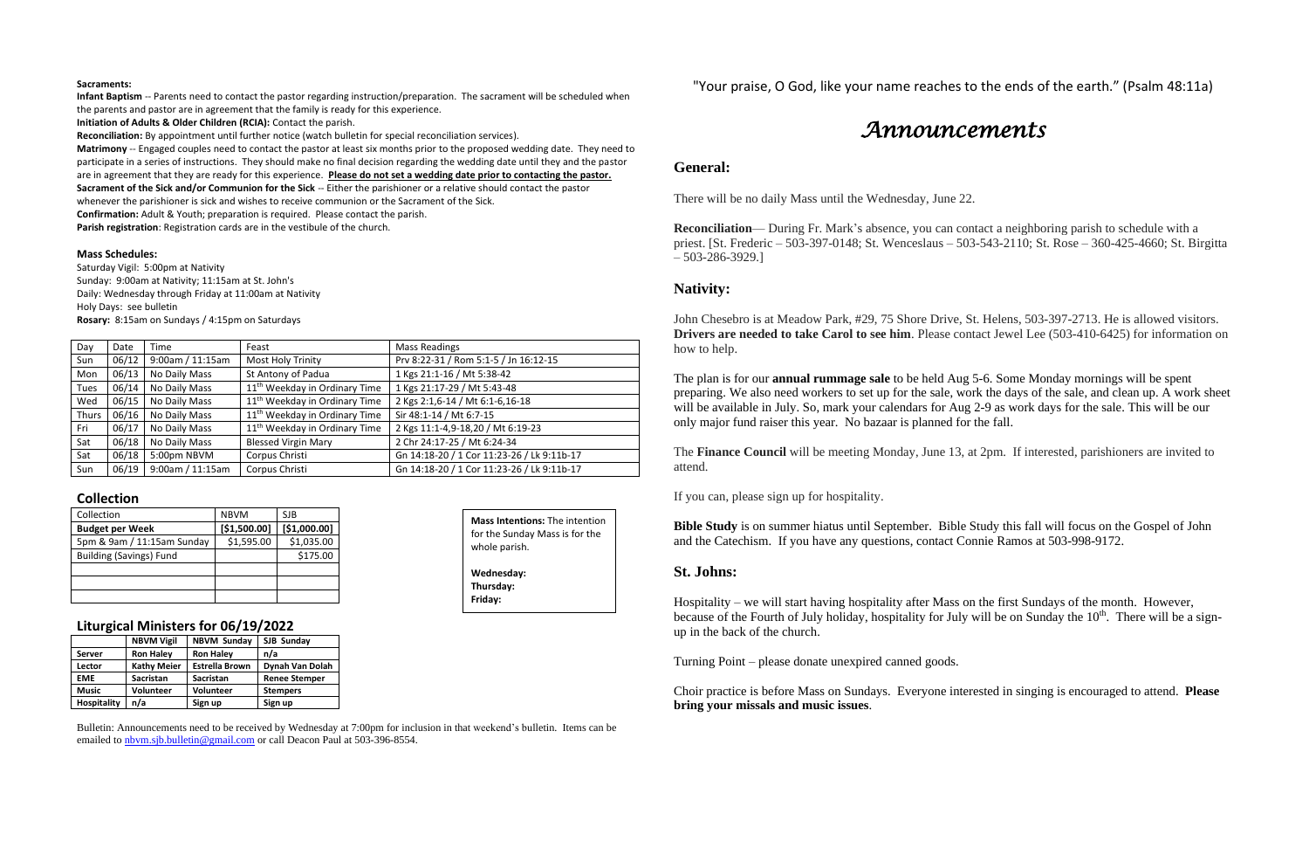### **Sacraments:**

**Infant Baptism** -- Parents need to contact the pastor regarding instruction/preparation. The sacrament will be scheduled when the parents and pastor are in agreement that the family is ready for this experience.

**Initiation of Adults & Older Children (RCIA):** Contact the parish.

**Reconciliation:** By appointment until further notice (watch bulletin for special reconciliation services).

**Matrimony** -- Engaged couples need to contact the pastor at least six months prior to the proposed wedding date. They need to participate in a series of instructions. They should make no final decision regarding the wedding date until they and the pastor are in agreement that they are ready for this experience. **Please do not set a wedding date prior to contacting the pastor. Sacrament of the Sick and/or Communion for the Sick** -- Either the parishioner or a relative should contact the pastor whenever the parishioner is sick and wishes to receive communion or the Sacrament of the Sick.

**Confirmation:** Adult & Youth; preparation is required. Please contact the parish.

**Parish registration**: Registration cards are in the vestibule of the church.

### **Mass Schedules:**

Saturday Vigil: 5:00pm at Nativity Sunday: 9:00am at Nativity; 11:15am at St. John's Daily: Wednesday through Friday at 11:00am at Nativity Holy Days: see bulletin **Rosary:** 8:15am on Sundays / 4:15pm on Saturdays

| Day   | Date  | Time             | Feast                                     | Mass Readings                              |  |
|-------|-------|------------------|-------------------------------------------|--------------------------------------------|--|
| Sun   | 06/12 | 9:00am / 11:15am | Most Holy Trinity                         | Prv 8:22-31 / Rom 5:1-5 / Jn 16:12-15      |  |
| Mon   | 06/13 | No Daily Mass    | St Antony of Padua                        | 1 Kgs 21:1-16 / Mt 5:38-42                 |  |
| Tues  | 06/14 | No Daily Mass    | 11 <sup>th</sup> Weekday in Ordinary Time | 1 Kgs 21:17-29 / Mt 5:43-48                |  |
| Wed   | 06/15 | No Daily Mass    | 11 <sup>th</sup> Weekday in Ordinary Time | 2 Kgs 2:1,6-14 / Mt 6:1-6,16-18            |  |
| Thurs | 06/16 | No Daily Mass    | 11 <sup>th</sup> Weekday in Ordinary Time | Sir 48:1-14 / Mt 6:7-15                    |  |
| Fri   | 06/17 | No Daily Mass    | 11 <sup>th</sup> Weekday in Ordinary Time | 2 Kgs 11:1-4,9-18,20 / Mt 6:19-23          |  |
| Sat   | 06/18 | No Daily Mass    | <b>Blessed Virgin Mary</b>                | 2 Chr 24:17-25 / Mt 6:24-34                |  |
| Sat   | 06/18 | 5:00pm NBVM      | Corpus Christi                            | Gn 14:18-20 / 1 Cor 11:23-26 / Lk 9:11b-17 |  |
| Sun   | 06/19 | 9:00am / 11:15am | Corpus Christi                            | Gn 14:18-20 / 1 Cor 11:23-26 / Lk 9:11b-17 |  |

### **Collection**

| Collection                     | <b>NBVM</b>  | SJB          |
|--------------------------------|--------------|--------------|
| <b>Budget per Week</b>         | [\$1,500.00] | [\$1,000.00] |
| 5pm & 9am / 11:15am Sunday     | \$1,595.00   | \$1,035.00   |
| <b>Building (Savings) Fund</b> |              | \$175.00     |
|                                |              |              |
|                                |              |              |
|                                |              |              |

## **Liturgical Ministers for 06/19/2022**

|                    | <b>NBVM Vigil</b>  | <b>NBVM Sunday</b>    | SJB Sunday           |  |
|--------------------|--------------------|-----------------------|----------------------|--|
| Server             | <b>Ron Haley</b>   | <b>Ron Haley</b>      | n/a                  |  |
| Lector             | <b>Kathy Meier</b> | <b>Estrella Brown</b> | Dynah Van Dolah      |  |
| <b>EME</b>         | <b>Sacristan</b>   | <b>Sacristan</b>      | <b>Renee Stemper</b> |  |
| <b>Music</b>       | <b>Volunteer</b>   | <b>Volunteer</b>      | <b>Stempers</b>      |  |
| <b>Hospitality</b> | n/a                | Sign up               | Sign up              |  |
|                    |                    |                       |                      |  |

Bulletin: Announcements need to be received by Wednesday at 7:00pm for inclusion in that weekend's bulletin. Items can be emailed to [nbvm.sjb.bulletin@gmail.com](mailto:nbvm.sjb.bulletin@gmail.com) or call Deacon Paul at 503-396-8554.

"Your praise, O God, like your name reaches to the ends of the earth." (Psalm 48:11a)

# *Announcements*

## **General:**

There will be no daily Mass until the Wednesday, June 22.

**Reconciliation**— During Fr. Mark's absence, you can contact a neighboring parish to schedule with a priest. [St. Frederic – 503-397-0148; St. Wenceslaus – 503-543-2110; St. Rose – 360-425-4660; St. Birgitta  $-503-286-3929.1$ 

## **Nativity:**

John Chesebro is at Meadow Park, #29, 75 Shore Drive, St. Helens, 503-397-2713. He is allowed visitors. **Drivers are needed to take Carol to see him**. Please contact Jewel Lee (503-410-6425) for information on how to help.

The plan is for our **annual rummage sale** to be held Aug 5-6. Some Monday mornings will be spent preparing. We also need workers to set up for the sale, work the days of the sale, and clean up. A work sheet will be available in July. So, mark your calendars for Aug 2-9 as work days for the sale. This will be our only major fund raiser this year. No bazaar is planned for the fall.

The **Finance Council** will be meeting Monday, June 13, at 2pm. If interested, parishioners are invited to attend.

If you can, please sign up for hospitality.

**Bible Study** is on summer hiatus until September. Bible Study this fall will focus on the Gospel of John and the Catechism. If you have any questions, contact Connie Ramos at 503-998-9172.

## **St. Johns:**

Hospitality – we will start having hospitality after Mass on the first Sundays of the month. However, because of the Fourth of July holiday, hospitality for July will be on Sunday the 10<sup>th</sup>. There will be a signup in the back of the church.

Turning Point – please donate unexpired canned goods.

Choir practice is before Mass on Sundays. Everyone interested in singing is encouraged to attend. **Please bring your missals and music issues**.

| <b>Mass Intentions: The intention</b> |  |  |  |  |  |
|---------------------------------------|--|--|--|--|--|
| for the Sunday Mass is for the        |  |  |  |  |  |
| whole parish.                         |  |  |  |  |  |
| Wednesday:                            |  |  |  |  |  |
| Thursday:                             |  |  |  |  |  |
| Friday:                               |  |  |  |  |  |
|                                       |  |  |  |  |  |